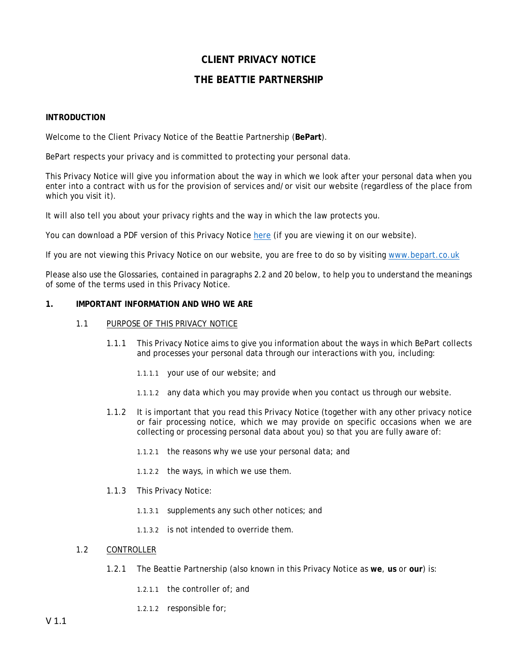# **CLIENT PRIVACY NOTICE**

# **THE BEATTIE PARTNERSHIP**

## **INTRODUCTION**

Welcome to the Client Privacy Notice of the Beattie Partnership (**BePart**).

BePart respects your privacy and is committed to protecting your personal data.

This Privacy Notice will give you information about the way in which we look after your personal data when you enter into a contract with us for the provision of services and/or visit our website (regardless of the place from which you visit it).

It will also tell you about your privacy rights and the way in which the law protects you.

You can download a PDF version of this Privacy Notice [here](http://www.bepart.co.uk/privacy) (if you are viewing it on our website).

If you are not viewing this Privacy Notice on our website, you are free to do so by visiting [www.bepart.co.uk](http://www.bepart.co.uk/)

Please also use the Glossaries, contained in paragraphs 2.2 and 20 below, to help you to understand the meanings of some of the terms used in this Privacy Notice.

## **1. IMPORTANT INFORMATION AND WHO WE ARE**

- 1.1 PURPOSE OF THIS PRIVACY NOTICE
	- 1.1.1 This Privacy Notice aims to give you information about the ways in which BePart collects and processes your personal data through our interactions with you, including:
		- 1.1.1.1 your use of our website; and
		- 1.1.1.2 any data which you may provide when you contact us through our website.
	- 1.1.2 It is important that you read this Privacy Notice (together with any other privacy notice or fair processing notice, which we may provide on specific occasions when we are collecting or processing personal data about you) so that you are fully aware of:
		- 1.1.2.1 the reasons why we use your personal data; and
		- 1.1.2.2 the ways, in which we use them.
	- 1.1.3 This Privacy Notice:
		- 1.1.3.1 supplements any such other notices; and
		- 1.1.3.2 is not intended to override them.

## 1.2 CONTROLLER

- 1.2.1 The Beattie Partnership (also known in this Privacy Notice as **we**, **us** or **our**) is:
	- 1.2.1.1 the controller of; and
	- 1.2.1.2 responsible for;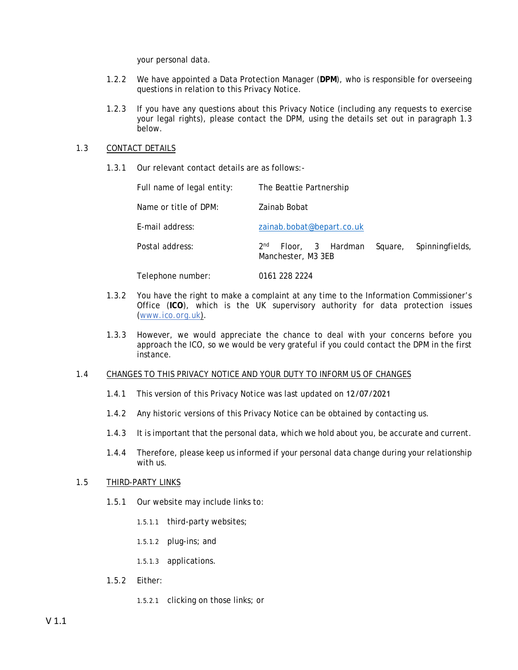your personal data.

- 1.2.2 We have appointed a Data Protection Manager (**DPM**), who is responsible for overseeing questions in relation to this Privacy Notice.
- 1.2.3 If you have any questions about this Privacy Notice (including any requests to exercise your legal rights), please contact the DPM, using the details set out in paragraph 1.3 below.

## 1.3 CONTACT DETAILS

1.3.1 Our relevant contact details are as follows:-

| Full name of legal entity: | The Beattie Partnership                                                                 |  |  |  |  |
|----------------------------|-----------------------------------------------------------------------------------------|--|--|--|--|
| Name or title of DPM:      | Zainab Bobat                                                                            |  |  |  |  |
| E-mail address:            | zainab.bobat@bepart.co.uk                                                               |  |  |  |  |
| Postal address:            | 2 <sub>nd</sub><br>Floor, 3 Hardman<br>Square,<br>Spinningfields,<br>Manchester, M3 3EB |  |  |  |  |
| Telephone number:          | 0161 228 2224                                                                           |  |  |  |  |

- 1.3.2 You have the right to make a complaint at any time to the Information Commissioner's Office (**ICO**), which is the UK supervisory authority for data protection issues (*[www.ico.org.uk](http://www.ico.org.uk/)*).
- 1.3.3 However, we would appreciate the chance to deal with your concerns before you approach the ICO, so we would be very grateful if you could contact the DPM in the first instance.

## 1.4 CHANGES TO THIS PRIVACY NOTICE AND YOUR DUTY TO INFORM US OF CHANGES

- 1.4.1 This version of this Privacy Notice was last updated on 12/07/2021
- 1.4.2 Any historic versions of this Privacy Notice can be obtained by contacting us.
- 1.4.3 It is important that the personal data, which we hold about you, be accurate and current.
- 1.4.4 Therefore, please keep us informed if your personal data change during your relationship with us.

## 1.5 THIRD-PARTY LINKS

- 1.5.1 Our website may include links to:
	- 1.5.1.1 third-party websites;
	- 1.5.1.2 plug-ins; and
	- 1.5.1.3 applications.
- 1.5.2 Either:
	- 1.5.2.1 clicking on those links; or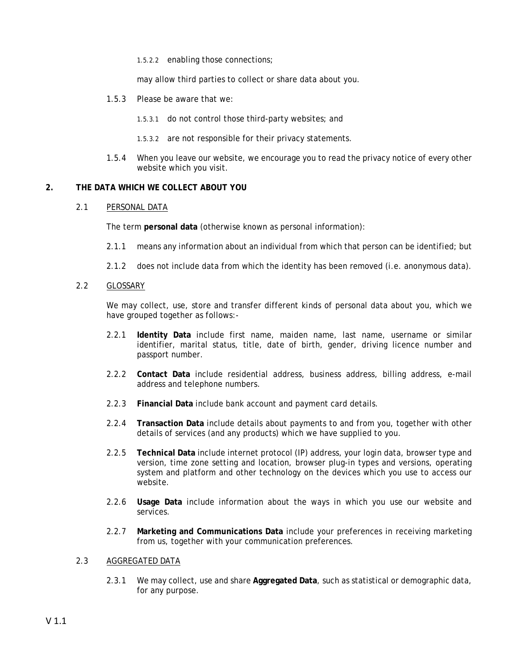1.5.2.2 enabling those connections;

may allow third parties to collect or share data about you.

1.5.3 Please be aware that we:

1.5.3.1 do not control those third-party websites; and

- 1.5.3.2 are not responsible for their privacy statements.
- 1.5.4 When you leave our website, we encourage you to read the privacy notice of every other website which you visit.

## **2. THE DATA WHICH WE COLLECT ABOUT YOU**

## 2.1 PERSONAL DATA

The term **personal data** (otherwise known as personal information):

- 2.1.1 means any information about an individual from which that person can be identified; but
- 2.1.2 does not include data from which the identity has been removed (i.e. anonymous data).
- 2.2 GLOSSARY

We may collect, use, store and transfer different kinds of personal data about you, which we have grouped together as follows:-

- 2.2.1 **Identity Data** include first name, maiden name, last name, username or similar identifier, marital status, title, date of birth, gender, driving licence number and passport number.
- 2.2.2 **Contact Data** include residential address, business address, billing address, e-mail address and telephone numbers.
- 2.2.3 **Financial Data** include bank account and payment card details.
- 2.2.4 **Transaction Data** include details about payments to and from you, together with other details of services (and any products) which we have supplied to you.
- 2.2.5 **Technical Data** include internet protocol (IP) address, your login data, browser type and version, time zone setting and location, browser plug-in types and versions, operating system and platform and other technology on the devices which you use to access our website.
- 2.2.6 **Usage Data** include information about the ways in which you use our website and services.
- 2.2.7 **Marketing and Communications Data** include your preferences in receiving marketing from us, together with your communication preferences.

## 2.3 AGGREGATED DATA

2.3.1 We may collect, use and share **Aggregated Data**, such as statistical or demographic data, for any purpose.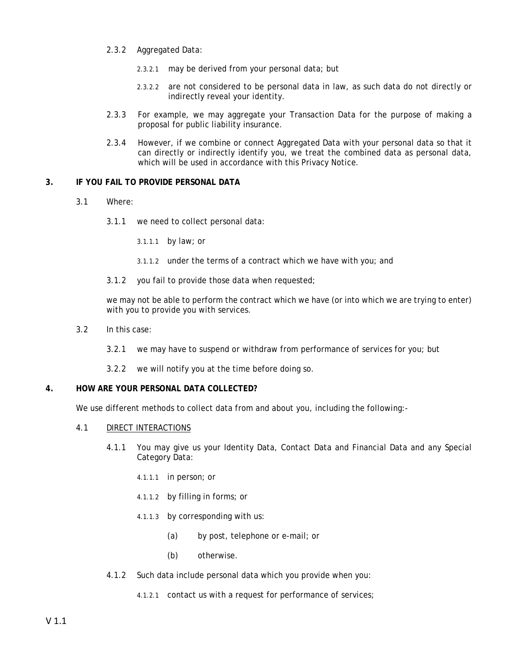- 2.3.2 Aggregated Data:
	- 2.3.2.1 may be derived from your personal data; but
	- 2.3.2.2 are not considered to be personal data in law, as such data do not directly or indirectly reveal your identity.
- 2.3.3 For example, we may aggregate your Transaction Data for the purpose of making a proposal for public liability insurance.
- 2.3.4 However, if we combine or connect Aggregated Data with your personal data so that it can directly or indirectly identify you, we treat the combined data as personal data, which will be used in accordance with this Privacy Notice.

## **3. IF YOU FAIL TO PROVIDE PERSONAL DATA**

- 3.1 Where:
	- 3.1.1 we need to collect personal data:

3.1.1.1 by law; or

- 3.1.1.2 under the terms of a contract which we have with you; and
- 3.1.2 you fail to provide those data when requested;

we may not be able to perform the contract which we have (or into which we are trying to enter) with you to provide you with services.

- 3.2 In this case:
	- 3.2.1 we may have to suspend or withdraw from performance of services for you; but
	- 3.2.2 we will notify you at the time before doing so.

### **4. HOW ARE YOUR PERSONAL DATA COLLECTED?**

We use different methods to collect data from and about you, including the following:-

- 4.1 DIRECT INTERACTIONS
	- 4.1.1 You may give us your Identity Data, Contact Data and Financial Data and any Special Category Data:
		- 4.1.1.1 in person; or
		- 4.1.1.2 by filling in forms; or
		- 4.1.1.3 by corresponding with us:
			- (a) by post, telephone or e-mail; or
			- (b) otherwise.
	- 4.1.2 Such data include personal data which you provide when you:
		- 4.1.2.1 contact us with a request for performance of services;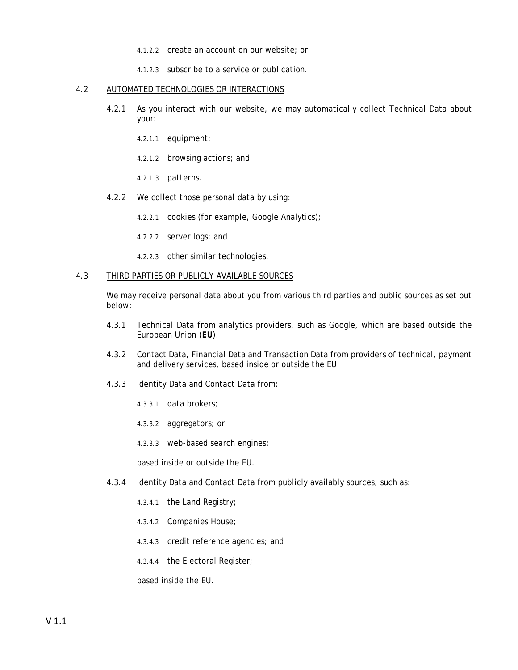- 4.1.2.2 create an account on our website; or
- 4.1.2.3 subscribe to a service or publication.

#### 4.2 AUTOMATED TECHNOLOGIES OR INTERACTIONS

- 4.2.1 As you interact with our website, we may automatically collect Technical Data about your:
	- 4.2.1.1 equipment;
	- 4.2.1.2 browsing actions; and
	- 4.2.1.3 patterns.
- 4.2.2 We collect those personal data by using:
	- 4.2.2.1 cookies (for example, Google Analytics);
	- 4.2.2.2 server logs; and
	- 4.2.2.3 other similar technologies.

### 4.3 THIRD PARTIES OR PUBLICLY AVAILABLE SOURCES

We may receive personal data about you from various third parties and public sources as set out below:-

- 4.3.1 Technical Data from analytics providers, such as Google, which are based outside the European Union (**EU**).
- 4.3.2 Contact Data, Financial Data and Transaction Data from providers of technical, payment and delivery services, based inside or outside the EU.
- 4.3.3 Identity Data and Contact Data from:
	- 4.3.3.1 data brokers;
	- 4.3.3.2 aggregators; or
	- 4.3.3.3 web-based search engines;

based inside or outside the EU.

- 4.3.4 Identity Data and Contact Data from publicly availably sources, such as:
	- 4.3.4.1 the Land Registry;
	- 4.3.4.2 Companies House;
	- 4.3.4.3 credit reference agencies; and
	- 4.3.4.4 the Electoral Register;

based inside the EU.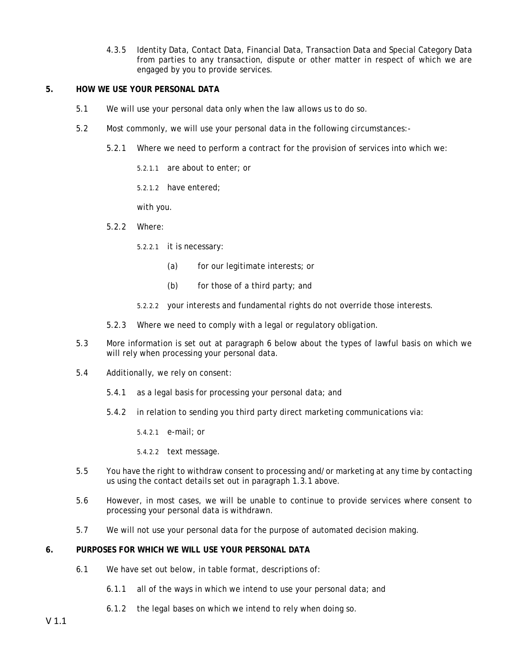4.3.5 Identity Data, Contact Data, Financial Data, Transaction Data and Special Category Data from parties to any transaction, dispute or other matter in respect of which we are engaged by you to provide services.

## **5. HOW WE USE YOUR PERSONAL DATA**

- 5.1 We will use your personal data only when the law allows us to do so.
- 5.2 Most commonly, we will use your personal data in the following circumstances:-
	- 5.2.1 Where we need to perform a contract for the provision of services into which we:
		- 5.2.1.1 are about to enter; or

5.2.1.2 have entered;

with you.

- 5.2.2 Where:
	- 5.2.2.1 it is necessary:
		- (a) for our legitimate interests; or
		- (b) for those of a third party; and
	- 5.2.2.2 your interests and fundamental rights do not override those interests.
- 5.2.3 Where we need to comply with a legal or regulatory obligation.
- 5.3 More information is set out at paragraph 6 below about the types of lawful basis on which we will rely when processing your personal data.
- 5.4 Additionally, we rely on consent:
	- 5.4.1 as a legal basis for processing your personal data; and
	- 5.4.2 in relation to sending you third party direct marketing communications via:
		- 5.4.2.1 e-mail; or
		- 5.4.2.2 text message.
- 5.5 You have the right to withdraw consent to processing and/or marketing at any time by contacting us using the contact details set out in paragraph 1.3.1 above.
- 5.6 However, in most cases, we will be unable to continue to provide services where consent to processing your personal data is withdrawn.
- 5.7 We will not use your personal data for the purpose of automated decision making.

## **6. PURPOSES FOR WHICH WE WILL USE YOUR PERSONAL DATA**

- 6.1 We have set out below, in table format, descriptions of:
	- 6.1.1 all of the ways in which we intend to use your personal data; and
	- 6.1.2 the legal bases on which we intend to rely when doing so.

V 1.1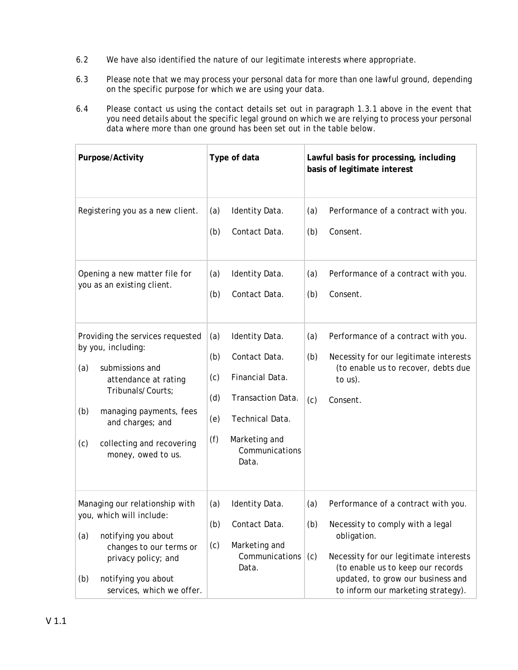- 6.2 We have also identified the nature of our legitimate interests where appropriate.
- 6.3 Please note that we may process your personal data for more than one lawful ground, depending on the specific purpose for which we are using your data.
- 6.4 Please contact us using the contact details set out in paragraph 1.3.1 above in the event that you need details about the specific legal ground on which we are relying to process your personal data where more than one ground has been set out in the table below.

| Purpose/Activity                                                                                                                                                                                                                              | Type of data                                                                                                                                                                     | Lawful basis for processing, including<br>basis of legitimate interest                                                                                                                                                                                                |  |  |
|-----------------------------------------------------------------------------------------------------------------------------------------------------------------------------------------------------------------------------------------------|----------------------------------------------------------------------------------------------------------------------------------------------------------------------------------|-----------------------------------------------------------------------------------------------------------------------------------------------------------------------------------------------------------------------------------------------------------------------|--|--|
| Registering you as a new client.                                                                                                                                                                                                              | Identity Data.<br>(a)<br>Contact Data.<br>(b)                                                                                                                                    | Performance of a contract with you.<br>(a)<br>Consent.<br>(b)                                                                                                                                                                                                         |  |  |
| Opening a new matter file for<br>you as an existing client.                                                                                                                                                                                   | Identity Data.<br>(a)<br>Contact Data.<br>(b)                                                                                                                                    | Performance of a contract with you.<br>(a)<br>Consent.<br>(b)                                                                                                                                                                                                         |  |  |
| Providing the services requested<br>by you, including:<br>(a)<br>submissions and<br>attendance at rating<br>Tribunals/Courts;<br>(b)<br>managing payments, fees<br>and charges; and<br>(c)<br>collecting and recovering<br>money, owed to us. | (a)<br>Identity Data.<br>(b)<br>Contact Data.<br>Financial Data.<br>(c)<br>(d)<br>Transaction Data.<br>(e)<br>Technical Data.<br>(f)<br>Marketing and<br>Communications<br>Data. | Performance of a contract with you.<br>(a)<br>(b)<br>Necessity for our legitimate interests<br>(to enable us to recover, debts due<br>to $us$ ).<br>Consent.<br>(c)                                                                                                   |  |  |
| Managing our relationship with<br>you, which will include:<br>(a)<br>notifying you about<br>changes to our terms or<br>privacy policy; and<br>notifying you about<br>(b)<br>services, which we offer.                                         | (a)<br>Identity Data.<br>(b)<br>Contact Data.<br>(c)<br>Marketing and<br>Communications<br>Data.                                                                                 | Performance of a contract with you.<br>(a)<br>(b)<br>Necessity to comply with a legal<br>obligation.<br>(c)<br>Necessity for our legitimate interests<br>(to enable us to keep our records<br>updated, to grow our business and<br>to inform our marketing strategy). |  |  |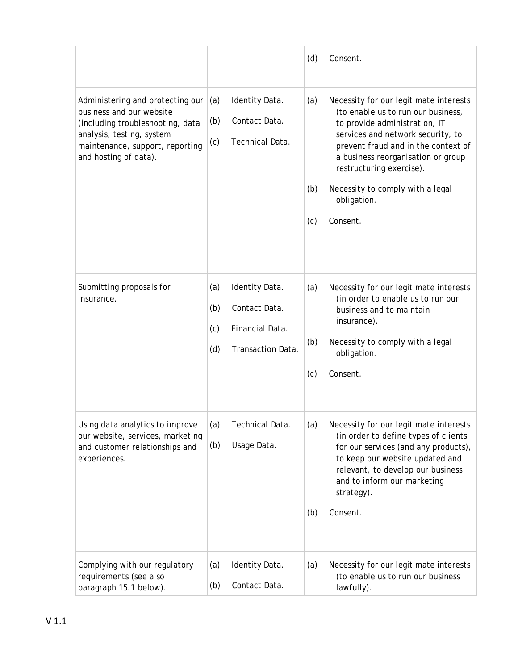|                                                                                                                                                                                           |                          |                                                                         | (d)               | Consent.                                                                                                                                                                                                                                                                                                                   |
|-------------------------------------------------------------------------------------------------------------------------------------------------------------------------------------------|--------------------------|-------------------------------------------------------------------------|-------------------|----------------------------------------------------------------------------------------------------------------------------------------------------------------------------------------------------------------------------------------------------------------------------------------------------------------------------|
| Administering and protecting our<br>business and our website<br>(including troubleshooting, data<br>analysis, testing, system<br>maintenance, support, reporting<br>and hosting of data). | (a)<br>(b)<br>(c)        | Identity Data.<br>Contact Data.<br>Technical Data.                      | (a)<br>(b)<br>(c) | Necessity for our legitimate interests<br>(to enable us to run our business,<br>to provide administration, IT<br>services and network security, to<br>prevent fraud and in the context of<br>a business reorganisation or group<br>restructuring exercise).<br>Necessity to comply with a legal<br>obligation.<br>Consent. |
| Submitting proposals for<br>insurance.                                                                                                                                                    | (a)<br>(b)<br>(c)<br>(d) | Identity Data.<br>Contact Data.<br>Financial Data.<br>Transaction Data. | (a)<br>(b)<br>(c) | Necessity for our legitimate interests<br>(in order to enable us to run our<br>business and to maintain<br>insurance).<br>Necessity to comply with a legal<br>obligation.<br>Consent.                                                                                                                                      |
| Using data analytics to improve<br>our website, services, marketing<br>and customer relationships and<br>experiences.                                                                     | (a)<br>(b)               | Technical Data.<br>Usage Data.                                          | (a)<br>(b)        | Necessity for our legitimate interests<br>(in order to define types of clients<br>for our services (and any products),<br>to keep our website updated and<br>relevant, to develop our business<br>and to inform our marketing<br>strategy).<br>Consent.                                                                    |
| Complying with our regulatory<br>requirements (see also<br>paragraph 15.1 below).                                                                                                         | (a)<br>(b)               | Identity Data.<br>Contact Data.                                         | (a)               | Necessity for our legitimate interests<br>(to enable us to run our business<br>lawfully).                                                                                                                                                                                                                                  |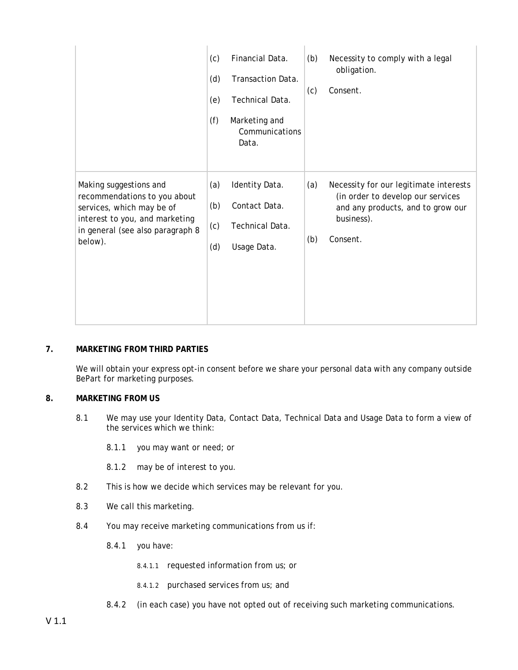|                                                                                                                                                                      | (c)<br>(d)<br>(e)<br>(f) | Financial Data.<br>Transaction Data.<br>Technical Data.<br>Marketing and<br>Communications<br>Data. | (b)<br>(c) | Necessity to comply with a legal<br>obligation.<br>Consent.                                                                                |
|----------------------------------------------------------------------------------------------------------------------------------------------------------------------|--------------------------|-----------------------------------------------------------------------------------------------------|------------|--------------------------------------------------------------------------------------------------------------------------------------------|
| Making suggestions and<br>recommendations to you about<br>services, which may be of<br>interest to you, and marketing<br>in general (see also paragraph 8<br>below). | (a)<br>(b)<br>(c)<br>(d) | Identity Data.<br>Contact Data.<br>Technical Data.<br>Usage Data.                                   | (a)<br>(b) | Necessity for our legitimate interests<br>(in order to develop our services<br>and any products, and to grow our<br>business).<br>Consent. |

# **7. MARKETING FROM THIRD PARTIES**

We will obtain your express opt-in consent before we share your personal data with any company outside BePart for marketing purposes.

## **8. MARKETING FROM US**

- 8.1 We may use your Identity Data, Contact Data, Technical Data and Usage Data to form a view of the services which we think:
	- 8.1.1 you may want or need; or
	- 8.1.2 may be of interest to you.
- 8.2 This is how we decide which services may be relevant for you.
- 8.3 We call this marketing.
- 8.4 You may receive marketing communications from us if:
	- 8.4.1 you have:
		- 8.4.1.1 requested information from us; or
		- 8.4.1.2 purchased services from us; and
	- 8.4.2 (in each case) you have not opted out of receiving such marketing communications.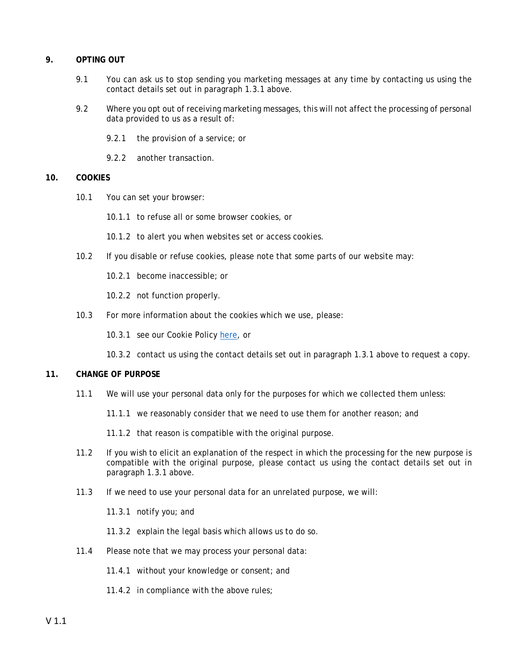## **9. OPTING OUT**

- 9.1 You can ask us to stop sending you marketing messages at any time by contacting us using the contact details set out in paragraph 1.3.1 above.
- 9.2 Where you opt out of receiving marketing messages, this will not affect the processing of personal data provided to us as a result of:
	- 9.2.1 the provision of a service; or
	- 9.2.2 another transaction.

## **10. COOKIES**

- 10.1 You can set your browser:
	- 10.1.1 to refuse all or some browser cookies, or
	- 10.1.2 to alert you when websites set or access cookies.
- 10.2 If you disable or refuse cookies, please note that some parts of our website may:
	- 10.2.1 become inaccessible; or

10.2.2 not function properly.

- 10.3 For more information about the cookies which we use, please:
	- 10.3.1 see our Cookie Policy [here,](http://www.bepart.co.uk/pdf/Beattie_Partnership_Website_Terms.pdf) or

10.3.2 contact us using the contact details set out in paragraph 1.3.1 above to request a copy.

## **11. CHANGE OF PURPOSE**

- 11.1 We will use your personal data only for the purposes for which we collected them unless:
	- 11.1.1 we reasonably consider that we need to use them for another reason; and
	- 11.1.2 that reason is compatible with the original purpose.
- 11.2 If you wish to elicit an explanation of the respect in which the processing for the new purpose is compatible with the original purpose, please contact us using the contact details set out in paragraph 1.3.1 above.
- 11.3 If we need to use your personal data for an unrelated purpose, we will:
	- 11.3.1 notify you; and
	- 11.3.2 explain the legal basis which allows us to do so.
- 11.4 Please note that we may process your personal data:
	- 11.4.1 without your knowledge or consent; and
	- 11.4.2 in compliance with the above rules;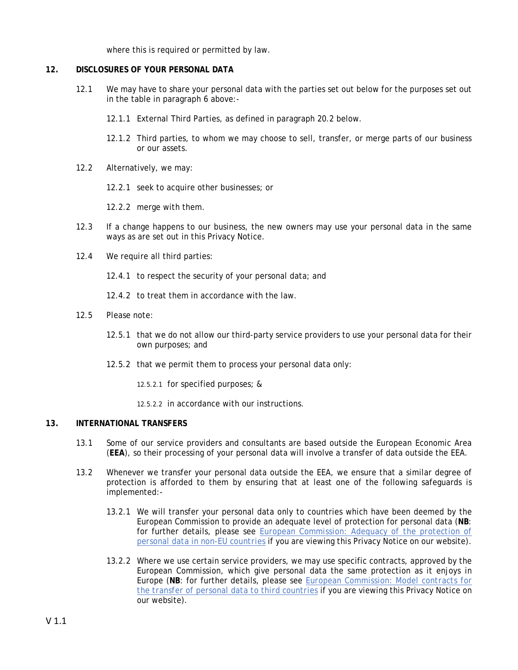where this is required or permitted by law.

## **12. DISCLOSURES OF YOUR PERSONAL DATA**

- 12.1 We may have to share your personal data with the parties set out below for the purposes set out in the table in paragraph 6 above:-
	- 12.1.1 External Third Parties, as defined in paragraph 20.2 below.
	- 12.1.2 Third parties, to whom we may choose to sell, transfer, or merge parts of our business or our assets.
- 12.2 Alternatively, we may:
	- 12.2.1 seek to acquire other businesses; or
	- 12.2.2 merge with them.
- 12.3 If a change happens to our business, the new owners may use your personal data in the same ways as are set out in this Privacy Notice.
- 12.4 We require all third parties:
	- 12.4.1 to respect the security of your personal data; and
	- 12.4.2 to treat them in accordance with the law.
- 12.5 Please note:
	- 12.5.1 that we do not allow our third-party service providers to use your personal data for their own purposes; and
	- 12.5.2 that we permit them to process your personal data only:
		- 12.5.2.1 for specified purposes; &
		- 12.5.2.2 in accordance with our instructions.

## **13. INTERNATIONAL TRANSFERS**

- 13.1 Some of our service providers and consultants are based outside the European Economic Area (**EEA**), so their processing of your personal data will involve a transfer of data outside the EEA.
- 13.2 Whenever we transfer your personal data outside the EEA, we ensure that a similar degree of protection is afforded to them by ensuring that at least one of the following safeguards is implemented:-
	- 13.2.1 We will transfer your personal data only to countries which have been deemed by the European Commission to provide an adequate level of protection for personal data (**NB**: for further details, please see *[European Commission: Adequacy of the protection of](https://ec.europa.eu/info/law/law-topic/data-protection/data-transfers-outside-eu/adequacy-protection-personal-data-non-eu-countries_en)  [personal data in non-EU countries](https://ec.europa.eu/info/law/law-topic/data-protection/data-transfers-outside-eu/adequacy-protection-personal-data-non-eu-countries_en)* if you are viewing this Privacy Notice on our website).
	- 13.2.2 Where we use certain service providers, we may use specific contracts, approved by the European Commission, which give personal data the same protection as it enjoys in Europe (**NB**: for further details, please see *[European Commission: Model contracts for](https://ec.europa.eu/info/strategy/justice-and-fundamental-rights/data-protection/data-transfers-outside-eu/model-contracts-transfer-personal-data-third-countries_en)  [the transfer of personal data to third countries](https://ec.europa.eu/info/strategy/justice-and-fundamental-rights/data-protection/data-transfers-outside-eu/model-contracts-transfer-personal-data-third-countries_en)* if you are viewing this Privacy Notice on our website).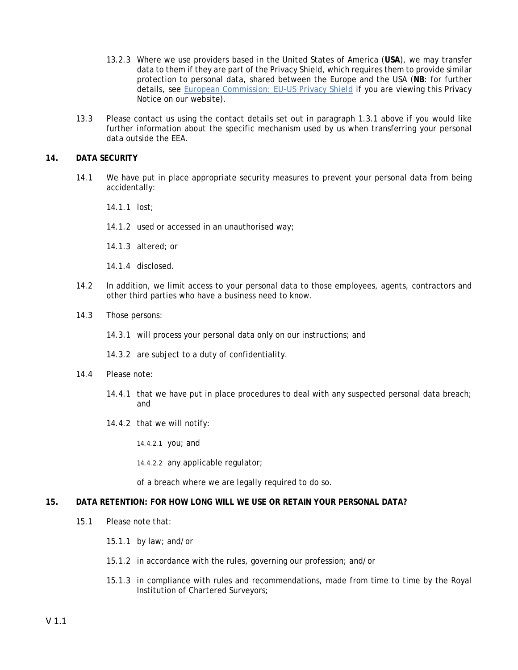- 13.2.3 Where we use providers based in the United States of America (**USA**), we may transfer data to them if they are part of the Privacy Shield, which requires them to provide similar protection to personal data, shared between the Europe and the USA (**NB**: for further details, see *[European Commission: EU-US Privacy Shield](https://ec.europa.eu/info/strategy/justice-and-fundamental-rights/data-protection/data-transfers-outside-eu/eu-us-privacy-shield_en)* if you are viewing this Privacy Notice on our website).
- 13.3 Please contact us using the contact details set out in paragraph 1.3.1 above if you would like further information about the specific mechanism used by us when transferring your personal data outside the EEA.

## **14. DATA SECURITY**

- 14.1 We have put in place appropriate security measures to prevent your personal data from being accidentally:
	- 14.1.1 lost;
	- 14.1.2 used or accessed in an unauthorised way;
	- 14.1.3 altered; or
	- 14.1.4 disclosed.
- 14.2 In addition, we limit access to your personal data to those employees, agents, contractors and other third parties who have a business need to know.
- 14.3 Those persons:
	- 14.3.1 will process your personal data only on our instructions; and
	- 14.3.2 are subject to a duty of confidentiality.
- 14.4 Please note:
	- 14.4.1 that we have put in place procedures to deal with any suspected personal data breach; and
	- 14.4.2 that we will notify:
		- 14.4.2.1 you; and
		- 14.4.2.2 any applicable regulator;

of a breach where we are legally required to do so.

## **15. DATA RETENTION: FOR HOW LONG WILL WE USE OR RETAIN YOUR PERSONAL DATA?**

- 15.1 Please note that:
	- 15.1.1 by law; and/or
	- 15.1.2 in accordance with the rules, governing our profession; and/or
	- 15.1.3 in compliance with rules and recommendations, made from time to time by the Royal Institution of Chartered Surveyors;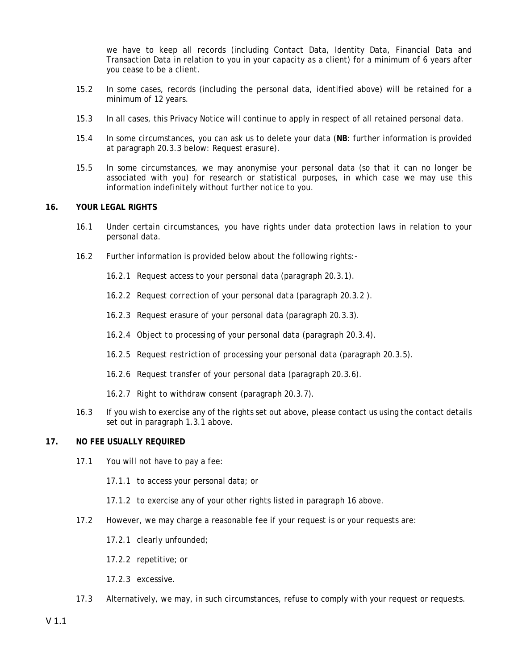we have to keep all records (including Contact Data, Identity Data, Financial Data and Transaction Data in relation to you in your capacity as a client) for a minimum of 6 years after you cease to be a client.

- 15.2 In some cases, records (including the personal data, identified above) will be retained for a minimum of 12 years.
- 15.3 In all cases, this Privacy Notice will continue to apply in respect of all retained personal data.
- 15.4 In some circumstances, you can ask us to delete your data (**NB**: further information is provided at paragraph 20.3.3 below: *Request erasure).*
- 15.5 In some circumstances, we may anonymise your personal data (so that it can no longer be associated with you) for research or statistical purposes, in which case we may use this information indefinitely without further notice to you.

## **16. YOUR LEGAL RIGHTS**

- 16.1 Under certain circumstances, you have rights under data protection laws in relation to your personal data.
- 16.2 Further information is provided below about the following rights:-
	- 16.2.1 *Request access to your personal data* (paragraph 20.3.1).
	- 16.2.2 *Request correction of your personal data* (paragraph 20.3.2 ).
	- 16.2.3 *Request erasure of your personal data* (paragraph 20.3.3).
	- 16.2.4 *Object to processing of your personal data* (paragraph 20.3.4).
	- 16.2.5 *Request restriction of processing your personal data* (paragraph 20.3.5).
	- 16.2.6 *Request transfer of your personal data* (paragraph 20.3.6).
	- 16.2.7 *Right to withdraw consent* (paragraph 20.3.7)*.*
- 16.3 If you wish to exercise any of the rights set out above, please contact us using the contact details set out in paragraph 1.3.1 above.

## **17. NO FEE USUALLY REQUIRED**

- 17.1 You will not have to pay a fee:
	- 17.1.1 to access your personal data; or
	- 17.1.2 to exercise any of your other rights listed in paragraph 16 above.
- 17.2 However, we may charge a reasonable fee if your request is or your requests are:
	- 17.2.1 clearly unfounded;
	- 17.2.2 repetitive; or
	- 17.2.3 excessive.
- 17.3 Alternatively, we may, in such circumstances, refuse to comply with your request or requests.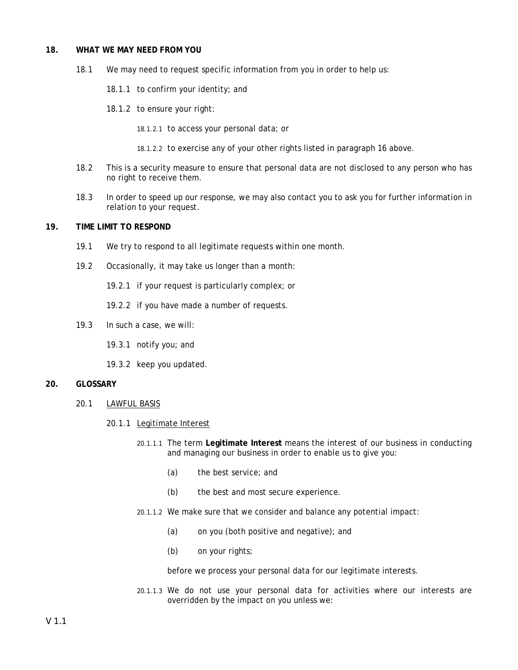#### **18. WHAT WE MAY NEED FROM YOU**

- 18.1 We may need to request specific information from you in order to help us:
	- 18.1.1 to confirm your identity; and
	- 18.1.2 to ensure your right:
		- 18.1.2.1 to access your personal data; or
		- 18.1.2.2 to exercise any of your other rights listed in paragraph 16 above.
- 18.2 This is a security measure to ensure that personal data are not disclosed to any person who has no right to receive them.
- 18.3 In order to speed up our response, we may also contact you to ask you for further information in relation to your request.

## **19. TIME LIMIT TO RESPOND**

- 19.1 We try to respond to all legitimate requests within one month.
- 19.2 Occasionally, it may take us longer than a month:
	- 19.2.1 if your request is particularly complex; or
	- 19.2.2 if you have made a number of requests.
- 19.3 In such a case, we will:
	- 19.3.1 notify you; and
	- 19.3.2 keep you updated.

## **20. GLOSSARY**

20.1 LAWFUL BASIS

## 20.1.1 Legitimate Interest

- 20.1.1.1 The term **Legitimate Interest** means the interest of our business in conducting and managing our business in order to enable us to give you:
	- (a) the best service; and
	- (b) the best and most secure experience.
- 20.1.1.2 We make sure that we consider and balance any potential impact:
	- (a) on you (both positive and negative); and
	- (b) on your rights;

before we process your personal data for our legitimate interests.

20.1.1.3 We do not use your personal data for activities where our interests are overridden by the impact on you unless we: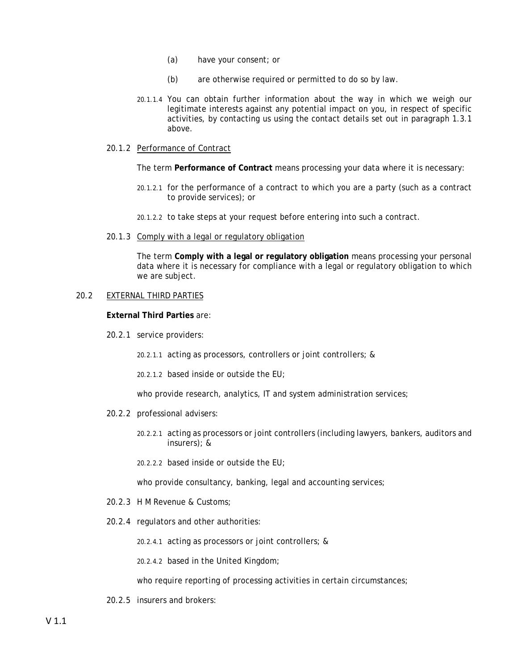- (a) have your consent; or
- (b) are otherwise required or permitted to do so by law.
- 20.1.1.4 You can obtain further information about the way in which we weigh our legitimate interests against any potential impact on you, in respect of specific activities, by contacting us using the contact details set out in paragraph 1.3.1 above.

## 20.1.2 Performance of Contract

The term **Performance of Contract** means processing your data where it is necessary:

- 20.1.2.1 for the performance of a contract to which you are a party (such as a contract to provide services); or
- 20.1.2.2 to take steps at your request before entering into such a contract.
- 20.1.3 Comply with a legal or regulatory obligation

The term **Comply with a legal or regulatory obligation** means processing your personal data where it is necessary for compliance with a legal or regulatory obligation to which we are subject.

### 20.2 EXTERNAL THIRD PARTIES

#### **External Third Parties** are:

20.2.1 service providers:

20.2.1.1 acting as processors, controllers or joint controllers; &

20.2.1.2 based inside or outside the EU;

who provide research, analytics, IT and system administration services;

- 20.2.2 professional advisers:
	- 20.2.2.1 acting as processors or joint controllers (including lawyers, bankers, auditors and insurers); &
	- 20.2.2.2 based inside or outside the EU;

who provide consultancy, banking, legal and accounting services;

- 20.2.3 H M Revenue & Customs;
- 20.2.4 regulators and other authorities:

20.2.4.1 acting as processors or joint controllers; &

20.2.4.2 based in the United Kingdom;

who require reporting of processing activities in certain circumstances;

20.2.5 insurers and brokers: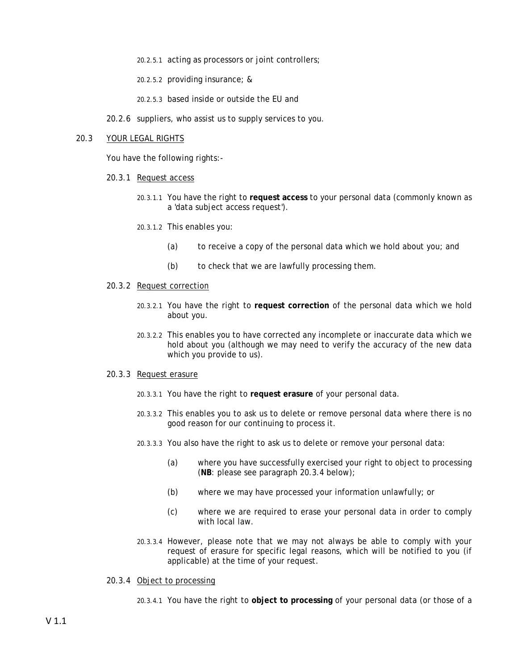- 20.2.5.1 acting as processors or joint controllers;
- 20.2.5.2 providing insurance; &
- 20.2.5.3 based inside or outside the EU and
- 20.2.6 suppliers, who assist us to supply services to you.

### 20.3 YOUR LEGAL RIGHTS

You have the following rights:-

- 20.3.1 Request access
	- 20.3.1.1 You have the right to **request access** to your personal data (commonly known as a '*data subject access request'*).
	- 20.3.1.2 This enables you:
		- (a) to receive a copy of the personal data which we hold about you; and
		- (b) to check that we are lawfully processing them.

#### 20.3.2 Request correction

- 20.3.2.1 You have the right to **request correction** of the personal data which we hold about you.
- 20.3.2.2 This enables you to have corrected any incomplete or inaccurate data which we hold about you (although we may need to verify the accuracy of the new data which you provide to us).

#### 20.3.3 Request erasure

- 20.3.3.1 You have the right to **request erasure** of your personal data.
- 20.3.3.2 This enables you to ask us to delete or remove personal data where there is no good reason for our continuing to process it.
- 20.3.3.3 You also have the right to ask us to delete or remove your personal data:
	- (a) where you have successfully exercised your right to object to processing (**NB**: please see paragraph 20.3.4 below);
	- (b) where we may have processed your information unlawfully; or
	- (c) where we are required to erase your personal data in order to comply with local law.
- 20.3.3.4 However, please note that we may not always be able to comply with your request of erasure for specific legal reasons, which will be notified to you (if applicable) at the time of your request.

### 20.3.4 Object to processing

20.3.4.1 You have the right to **object to processing** of your personal data (or those of a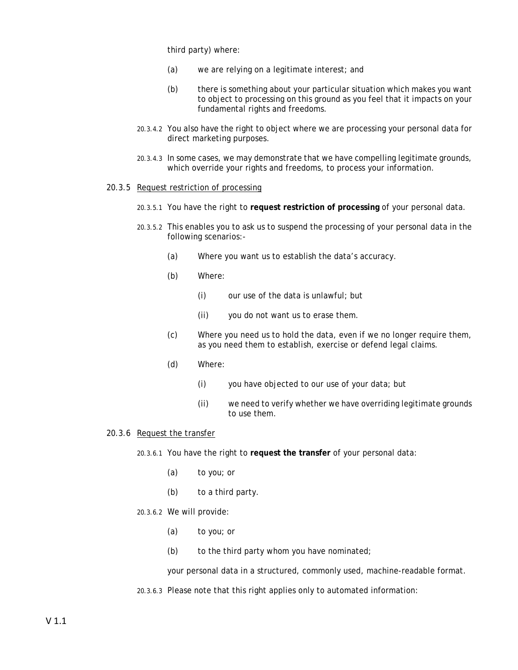third party) where:

- (a) we are relying on a legitimate interest; and
- (b) there is something about your particular situation which makes you want to object to processing on this ground as you feel that it impacts on your fundamental rights and freedoms.
- 20.3.4.2 You also have the right to object where we are processing your personal data for direct marketing purposes.
- 20.3.4.3 In some cases, we may demonstrate that we have compelling legitimate grounds, which override your rights and freedoms, to process your information.

### 20.3.5 Request restriction of processing

- 20.3.5.1 You have the right to **request restriction of processing** of your personal data.
- 20.3.5.2 This enables you to ask us to suspend the processing of your personal data in the following scenarios:-
	- (a) Where you want us to establish the data's accuracy.
	- (b) Where:
		- (i) our use of the data is unlawful; but
		- (ii) you do not want us to erase them.
	- (c) Where you need us to hold the data, even if we no longer require them, as you need them to establish, exercise or defend legal claims.
	- (d) Where:
		- (i) you have objected to our use of your data; but
		- (ii) we need to verify whether we have overriding legitimate grounds to use them.

### 20.3.6 Request the transfer

- 20.3.6.1 You have the right to **request the transfer** of your personal data:
	- (a) to you; or
	- (b) to a third party.

## 20.3.6.2 We will provide:

- (a) to you; or
- $(b)$  to the third party whom you have nominated;

your personal data in a structured, commonly used, machine-readable format.

20.3.6.3 Please note that this right applies only to automated information: